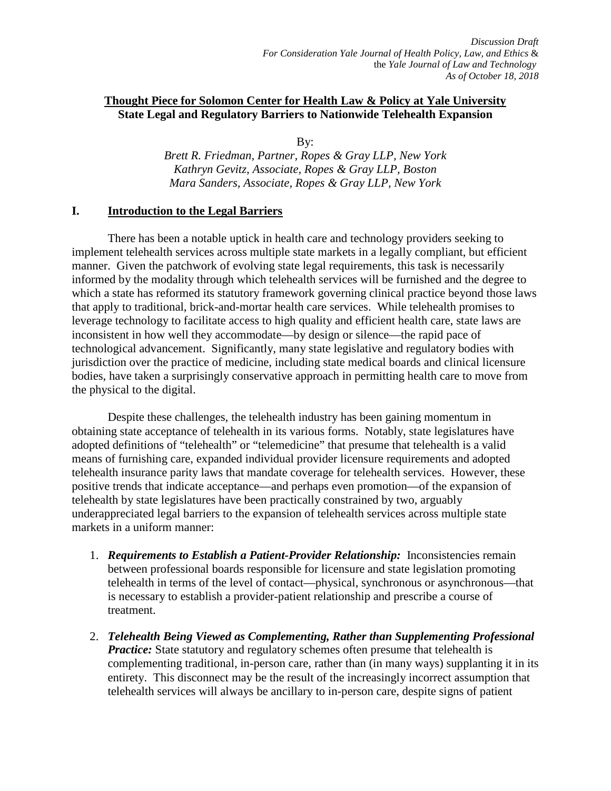# **Thought Piece for Solomon Center for Health Law & Policy at Yale University State Legal and Regulatory Barriers to Nationwide Telehealth Expansion**

By:

*Brett R. Friedman, Partner, Ropes & Gray LLP, New York Kathryn Gevitz, Associate, Ropes & Gray LLP, Boston Mara Sanders, Associate, Ropes & Gray LLP, New York*

## **I. Introduction to the Legal Barriers**

There has been a notable uptick in health care and technology providers seeking to implement telehealth services across multiple state markets in a legally compliant, but efficient manner. Given the patchwork of evolving state legal requirements, this task is necessarily informed by the modality through which telehealth services will be furnished and the degree to which a state has reformed its statutory framework governing clinical practice beyond those laws that apply to traditional, brick-and-mortar health care services. While telehealth promises to leverage technology to facilitate access to high quality and efficient health care, state laws are inconsistent in how well they accommodate—by design or silence—the rapid pace of technological advancement. Significantly, many state legislative and regulatory bodies with jurisdiction over the practice of medicine, including state medical boards and clinical licensure bodies, have taken a surprisingly conservative approach in permitting health care to move from the physical to the digital.

Despite these challenges, the telehealth industry has been gaining momentum in obtaining state acceptance of telehealth in its various forms. Notably, state legislatures have adopted definitions of "telehealth" or "telemedicine" that presume that telehealth is a valid means of furnishing care, expanded individual provider licensure requirements and adopted telehealth insurance parity laws that mandate coverage for telehealth services. However, these positive trends that indicate acceptance—and perhaps even promotion—of the expansion of telehealth by state legislatures have been practically constrained by two, arguably underappreciated legal barriers to the expansion of telehealth services across multiple state markets in a uniform manner:

- 1. *Requirements to Establish a Patient-Provider Relationship:* Inconsistencies remain between professional boards responsible for licensure and state legislation promoting telehealth in terms of the level of contact—physical, synchronous or asynchronous—that is necessary to establish a provider-patient relationship and prescribe a course of treatment.
- 2. *Telehealth Being Viewed as Complementing, Rather than Supplementing Professional Practice:* State statutory and regulatory schemes often presume that telehealth is complementing traditional, in-person care, rather than (in many ways) supplanting it in its entirety. This disconnect may be the result of the increasingly incorrect assumption that telehealth services will always be ancillary to in-person care, despite signs of patient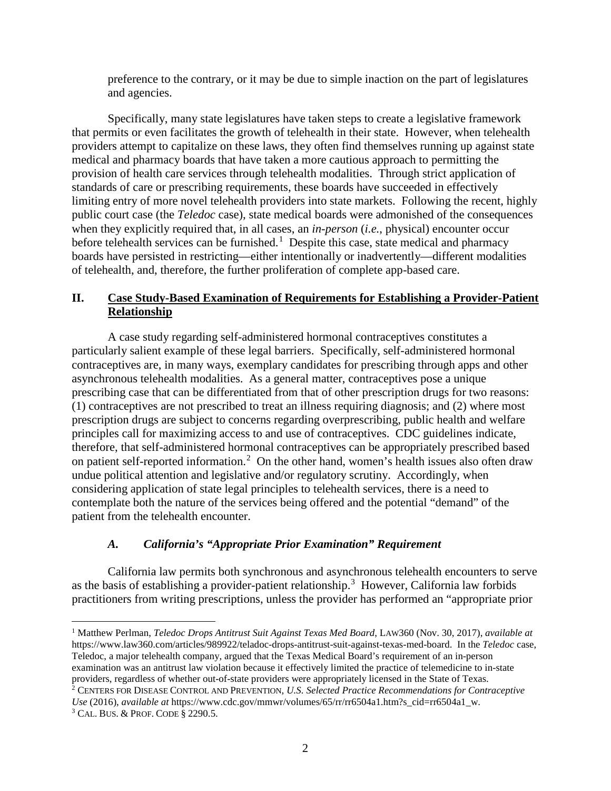preference to the contrary, or it may be due to simple inaction on the part of legislatures and agencies.

Specifically, many state legislatures have taken steps to create a legislative framework that permits or even facilitates the growth of telehealth in their state. However, when telehealth providers attempt to capitalize on these laws, they often find themselves running up against state medical and pharmacy boards that have taken a more cautious approach to permitting the provision of health care services through telehealth modalities. Through strict application of standards of care or prescribing requirements, these boards have succeeded in effectively limiting entry of more novel telehealth providers into state markets. Following the recent, highly public court case (the *Teledoc* case), state medical boards were admonished of the consequences when they explicitly required that, in all cases, an *in-person (i.e., physical)* encounter occur before telehealth services can be furnished.<sup>[1](#page-1-0)</sup> Despite this case, state medical and pharmacy boards have persisted in restricting—either intentionally or inadvertently—different modalities of telehealth, and, therefore, the further proliferation of complete app-based care.

# **II. Case Study-Based Examination of Requirements for Establishing a Provider-Patient Relationship**

A case study regarding self-administered hormonal contraceptives constitutes a particularly salient example of these legal barriers. Specifically, self-administered hormonal contraceptives are, in many ways, exemplary candidates for prescribing through apps and other asynchronous telehealth modalities. As a general matter, contraceptives pose a unique prescribing case that can be differentiated from that of other prescription drugs for two reasons: (1) contraceptives are not prescribed to treat an illness requiring diagnosis; and (2) where most prescription drugs are subject to concerns regarding overprescribing, public health and welfare principles call for maximizing access to and use of contraceptives. CDC guidelines indicate, therefore, that self-administered hormonal contraceptives can be appropriately prescribed based on patient self-reported information.<sup>[2](#page-1-1)</sup> On the other hand, women's health issues also often draw undue political attention and legislative and/or regulatory scrutiny. Accordingly, when considering application of state legal principles to telehealth services, there is a need to contemplate both the nature of the services being offered and the potential "demand" of the patient from the telehealth encounter.

# *A. California's "Appropriate Prior Examination" Requirement*

California law permits both synchronous and asynchronous telehealth encounters to serve as the basis of establishing a provider-patient relationship.<sup>[3](#page-1-2)</sup> However, California law forbids practitioners from writing prescriptions, unless the provider has performed an "appropriate prior

<span id="page-1-0"></span> <sup>1</sup> Matthew Perlman, *Teledoc Drops Antitrust Suit Against Texas Med Board*, LAW360 (Nov. 30, 2017), *available at*  https://www.law360.com/articles/989922/teladoc-drops-antitrust-suit-against-texas-med-board. In the *Teledoc* case, Teledoc, a major telehealth company, argued that the Texas Medical Board's requirement of an in-person examination was an antitrust law violation because it effectively limited the practice of telemedicine to in-state providers, regardless of whether out-of-state providers were appropriately licensed in the State of Texas. 2 CENTERS FOR DISEASE CONTROL AND PREVENTION, *U.S. Selected Practice Recommendations for Contraceptive* 

<span id="page-1-1"></span>*Use* (2016), *available at* https://www.cdc.gov/mmwr/volumes/65/rr/rr6504a1.htm?s\_cid=rr6504a1\_w. <sup>3</sup> CAL. BUS. & PROF. CODE § 2290.5.

<span id="page-1-2"></span>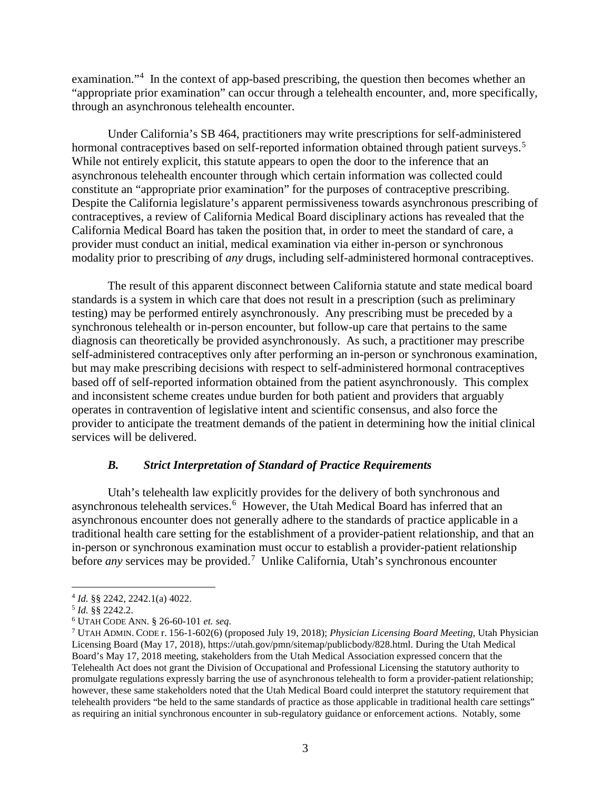examination."<sup>[4](#page-2-0)</sup> In the context of app-based prescribing, the question then becomes whether an "appropriate prior examination" can occur through a telehealth encounter, and, more specifically, through an asynchronous telehealth encounter.

Under California's SB 464, practitioners may write prescriptions for self-administered hormonal contraceptives based on self-reported information obtained through patient surveys.<sup>[5](#page-2-1)</sup> While not entirely explicit, this statute appears to open the door to the inference that an asynchronous telehealth encounter through which certain information was collected could constitute an "appropriate prior examination" for the purposes of contraceptive prescribing. Despite the California legislature's apparent permissiveness towards asynchronous prescribing of contraceptives, a review of California Medical Board disciplinary actions has revealed that the California Medical Board has taken the position that, in order to meet the standard of care, a provider must conduct an initial, medical examination via either in-person or synchronous modality prior to prescribing of *any* drugs, including self-administered hormonal contraceptives.

The result of this apparent disconnect between California statute and state medical board standards is a system in which care that does not result in a prescription (such as preliminary testing) may be performed entirely asynchronously. Any prescribing must be preceded by a synchronous telehealth or in-person encounter, but follow-up care that pertains to the same diagnosis can theoretically be provided asynchronously. As such, a practitioner may prescribe self-administered contraceptives only after performing an in-person or synchronous examination, but may make prescribing decisions with respect to self-administered hormonal contraceptives based off of self-reported information obtained from the patient asynchronously. This complex and inconsistent scheme creates undue burden for both patient and providers that arguably operates in contravention of legislative intent and scientific consensus, and also force the provider to anticipate the treatment demands of the patient in determining how the initial clinical services will be delivered.

#### *B. Strict Interpretation of Standard of Practice Requirements*

Utah's telehealth law explicitly provides for the delivery of both synchronous and asynchronous telehealth services.<sup>[6](#page-2-2)</sup> However, the Utah Medical Board has inferred that an asynchronous encounter does not generally adhere to the standards of practice applicable in a traditional health care setting for the establishment of a provider-patient relationship, and that an in-person or synchronous examination must occur to establish a provider-patient relationship before *any* services may be provided.<sup>[7](#page-2-3)</sup> Unlike California, Utah's synchronous encounter

<span id="page-2-1"></span><span id="page-2-0"></span> <sup>4</sup> *Id.* §§ 2242, 2242.1(a) 4022.

<span id="page-2-2"></span><sup>5</sup> *Id.* §§ 2242.2. 6 UTAH CODE ANN. § 26-60-101 *et. seq.*

<span id="page-2-3"></span><sup>7</sup> UTAH ADMIN. CODE r. 156-1-602(6) (proposed July 19, 2018); *Physician Licensing Board Meeting*, Utah Physician Licensing Board (May 17, 2018), https://utah.gov/pmn/sitemap/publicbody/828.html. During the Utah Medical Board's May 17, 2018 meeting, stakeholders from the Utah Medical Association expressed concern that the Telehealth Act does not grant the Division of Occupational and Professional Licensing the statutory authority to promulgate regulations expressly barring the use of asynchronous telehealth to form a provider-patient relationship; however, these same stakeholders noted that the Utah Medical Board could interpret the statutory requirement that telehealth providers "be held to the same standards of practice as those applicable in traditional health care settings" as requiring an initial synchronous encounter in sub-regulatory guidance or enforcement actions. Notably, some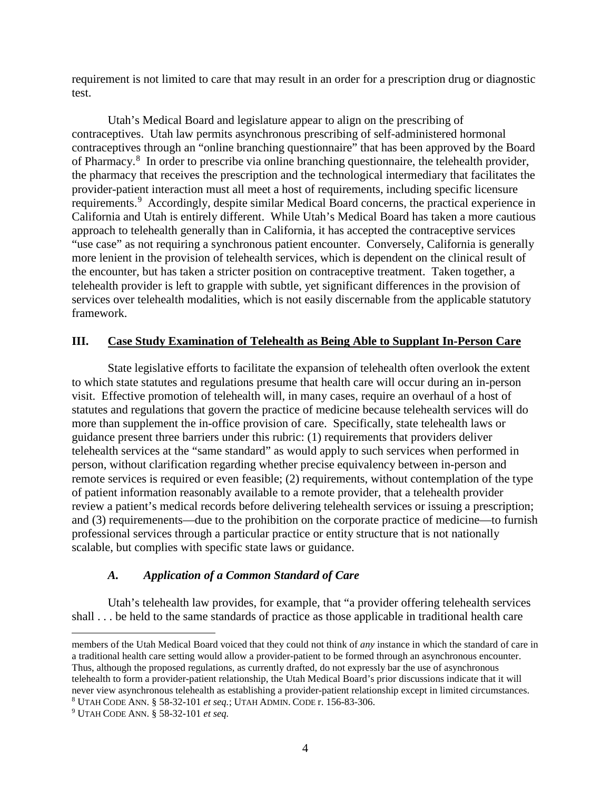requirement is not limited to care that may result in an order for a prescription drug or diagnostic test.

Utah's Medical Board and legislature appear to align on the prescribing of contraceptives. Utah law permits asynchronous prescribing of self-administered hormonal contraceptives through an "online branching questionnaire" that has been approved by the Board of Pharmacy.<sup>[8](#page-3-0)</sup> In order to prescribe via online branching questionnaire, the telehealth provider, the pharmacy that receives the prescription and the technological intermediary that facilitates the provider-patient interaction must all meet a host of requirements, including specific licensure requirements.<sup>[9](#page-3-1)</sup> Accordingly, despite similar Medical Board concerns, the practical experience in California and Utah is entirely different. While Utah's Medical Board has taken a more cautious approach to telehealth generally than in California, it has accepted the contraceptive services "use case" as not requiring a synchronous patient encounter. Conversely, California is generally more lenient in the provision of telehealth services, which is dependent on the clinical result of the encounter, but has taken a stricter position on contraceptive treatment. Taken together, a telehealth provider is left to grapple with subtle, yet significant differences in the provision of services over telehealth modalities, which is not easily discernable from the applicable statutory framework.

## **III. Case Study Examination of Telehealth as Being Able to Supplant In-Person Care**

State legislative efforts to facilitate the expansion of telehealth often overlook the extent to which state statutes and regulations presume that health care will occur during an in-person visit. Effective promotion of telehealth will, in many cases, require an overhaul of a host of statutes and regulations that govern the practice of medicine because telehealth services will do more than supplement the in-office provision of care. Specifically, state telehealth laws or guidance present three barriers under this rubric: (1) requirements that providers deliver telehealth services at the "same standard" as would apply to such services when performed in person, without clarification regarding whether precise equivalency between in-person and remote services is required or even feasible; (2) requirements, without contemplation of the type of patient information reasonably available to a remote provider, that a telehealth provider review a patient's medical records before delivering telehealth services or issuing a prescription; and (3) requiremenents—due to the prohibition on the corporate practice of medicine—to furnish professional services through a particular practice or entity structure that is not nationally scalable, but complies with specific state laws or guidance.

# *A. Application of a Common Standard of Care*

Utah's telehealth law provides, for example, that "a provider offering telehealth services shall . . . be held to the same standards of practice as those applicable in traditional health care

 $\overline{a}$ members of the Utah Medical Board voiced that they could not think of *any* instance in which the standard of care in a traditional health care setting would allow a provider-patient to be formed through an asynchronous encounter. Thus, although the proposed regulations, as currently drafted, do not expressly bar the use of asynchronous telehealth to form a provider-patient relationship, the Utah Medical Board's prior discussions indicate that it will never view asynchronous telehealth as establishing a provider-patient relationship except in limited circumstances. <sup>8</sup> UTAH CODE ANN. § 58-32-101 *et seq.*; UTAH ADMIN. CODE r. 156-83-306. 9 UTAH CODE ANN. § 58-32-101 *et seq.* 

<span id="page-3-1"></span><span id="page-3-0"></span>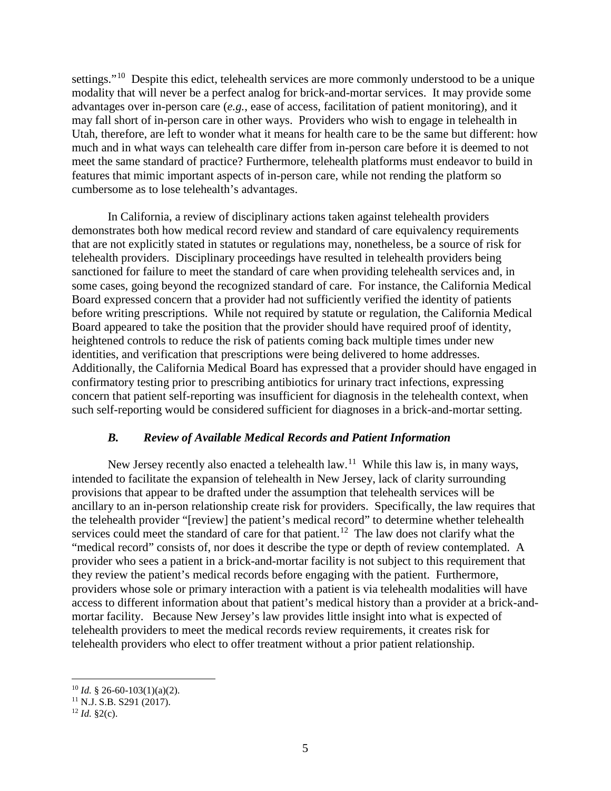settings."<sup>10</sup> Despite this edict, telehealth services are more commonly understood to be a unique modality that will never be a perfect analog for brick-and-mortar services. It may provide some advantages over in-person care (*e.g.*, ease of access, facilitation of patient monitoring), and it may fall short of in-person care in other ways. Providers who wish to engage in telehealth in Utah, therefore, are left to wonder what it means for health care to be the same but different: how much and in what ways can telehealth care differ from in-person care before it is deemed to not meet the same standard of practice? Furthermore, telehealth platforms must endeavor to build in features that mimic important aspects of in-person care, while not rending the platform so cumbersome as to lose telehealth's advantages.

In California, a review of disciplinary actions taken against telehealth providers demonstrates both how medical record review and standard of care equivalency requirements that are not explicitly stated in statutes or regulations may, nonetheless, be a source of risk for telehealth providers. Disciplinary proceedings have resulted in telehealth providers being sanctioned for failure to meet the standard of care when providing telehealth services and, in some cases, going beyond the recognized standard of care. For instance, the California Medical Board expressed concern that a provider had not sufficiently verified the identity of patients before writing prescriptions. While not required by statute or regulation, the California Medical Board appeared to take the position that the provider should have required proof of identity, heightened controls to reduce the risk of patients coming back multiple times under new identities, and verification that prescriptions were being delivered to home addresses. Additionally, the California Medical Board has expressed that a provider should have engaged in confirmatory testing prior to prescribing antibiotics for urinary tract infections, expressing concern that patient self-reporting was insufficient for diagnosis in the telehealth context, when such self-reporting would be considered sufficient for diagnoses in a brick-and-mortar setting.

## *B. Review of Available Medical Records and Patient Information*

New Jersey recently also enacted a telehealth law.<sup>[11](#page-4-1)</sup> While this law is, in many ways, intended to facilitate the expansion of telehealth in New Jersey, lack of clarity surrounding provisions that appear to be drafted under the assumption that telehealth services will be ancillary to an in-person relationship create risk for providers. Specifically, the law requires that the telehealth provider "[review] the patient's medical record" to determine whether telehealth services could meet the standard of care for that patient.<sup>[12](#page-4-2)</sup> The law does not clarify what the "medical record" consists of, nor does it describe the type or depth of review contemplated. A provider who sees a patient in a brick-and-mortar facility is not subject to this requirement that they review the patient's medical records before engaging with the patient. Furthermore, providers whose sole or primary interaction with a patient is via telehealth modalities will have access to different information about that patient's medical history than a provider at a brick-andmortar facility. Because New Jersey's law provides little insight into what is expected of telehealth providers to meet the medical records review requirements, it creates risk for telehealth providers who elect to offer treatment without a prior patient relationship.

<span id="page-4-0"></span> $10$  *Id.* § 26-60-103(1)(a)(2).

<span id="page-4-1"></span><sup>11</sup> N.J. S.B. S291 (2017). 12 *Id.* §2(c).

<span id="page-4-2"></span>